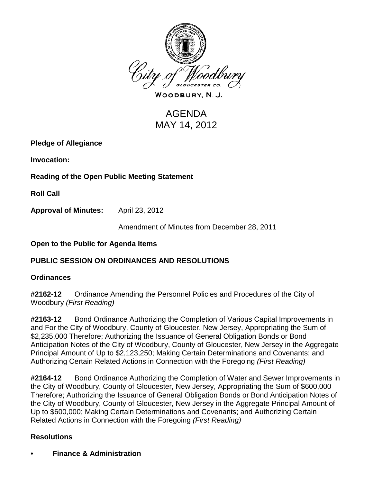

WOODBURY, N.J.

# AGENDA MAY 14, 2012

**Pledge of Allegiance**

**Invocation:** 

**Reading of the Open Public Meeting Statement**

**Roll Call**

**Approval of Minutes:** April 23, 2012

Amendment of Minutes from December 28, 2011

### **Open to the Public for Agenda Items**

# **PUBLIC SESSION ON ORDINANCES AND RESOLUTIONS**

### **Ordinances**

**#2162-12** Ordinance Amending the Personnel Policies and Procedures of the City of Woodbury *(First Reading)*

**#2163-12** Bond Ordinance Authorizing the Completion of Various Capital Improvements in and For the City of Woodbury, County of Gloucester, New Jersey, Appropriating the Sum of \$2,235,000 Therefore; Authorizing the Issuance of General Obligation Bonds or Bond Anticipation Notes of the City of Woodbury, County of Gloucester, New Jersey in the Aggregate Principal Amount of Up to \$2,123,250; Making Certain Determinations and Covenants; and Authorizing Certain Related Actions in Connection with the Foregoing *(First Reading)*

**#2164-12** Bond Ordinance Authorizing the Completion of Water and Sewer Improvements in the City of Woodbury, County of Gloucester, New Jersey, Appropriating the Sum of \$600,000 Therefore; Authorizing the Issuance of General Obligation Bonds or Bond Anticipation Notes of the City of Woodbury, County of Gloucester, New Jersey in the Aggregate Principal Amount of Up to \$600,000; Making Certain Determinations and Covenants; and Authorizing Certain Related Actions in Connection with the Foregoing *(First Reading)*

# **Resolutions**

**• Finance & Administration**